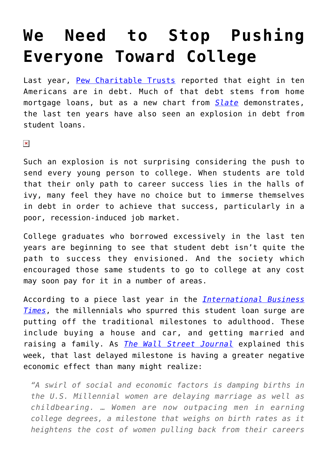## **[We Need to Stop Pushing](https://intellectualtakeout.org/2016/05/we-need-to-stop-pushing-everyone-toward-college/) [Everyone Toward College](https://intellectualtakeout.org/2016/05/we-need-to-stop-pushing-everyone-toward-college/)**

Last year, [Pew Charitable Trusts](http://www.pewtrusts.org/en/research-and-analysis/reports/2015/07/the-complex-story-of-american-debt) reported that eight in ten Americans are in debt. Much of that debt stems from home mortgage loans, but as a new chart from *[Slate](http://www.slate.com/articles/business/the_united_states_of_debt/2016/05/the_rise_of_household_debt_in_the_u_s_in_five_charts.html)* demonstrates, the last ten years have also seen an explosion in debt from student loans.

 $\pmb{\times}$ 

Such an explosion is not surprising considering the push to send every young person to college. When students are told that their only path to career success lies in the halls of ivy, many feel they have no choice but to immerse themselves in debt in order to achieve that success, particularly in a poor, recession-induced job market.

College graduates who borrowed excessively in the last ten years are beginning to see that student debt isn't quite the path to success they envisioned. And the society which encouraged those same students to go to college at any cost may soon pay for it in a number of areas.

According to a piece last year in the *[International Business](http://www.ibtimes.com/millennials-student-debt-means-postponing-life-events-marriage-home-buying-2040044) [Times](http://www.ibtimes.com/millennials-student-debt-means-postponing-life-events-marriage-home-buying-2040044)*, the millennials who spurred this student loan surge are putting off the traditional milestones to adulthood. These include buying a house and car, and getting married and raising a family. As *[The Wall Street Journal](http://www.wsj.com/articles/baby-lull-promises-growing-pains-for-economy-1462894211)* explained this week, that last delayed milestone is having a greater negative economic effect than many might realize:

*"A swirl of social and economic factors is damping births in the U.S. Millennial women are delaying marriage as well as childbearing. … Women are now outpacing men in earning college degrees, a milestone that weighs on birth rates as it heightens the cost of women pulling back from their careers*